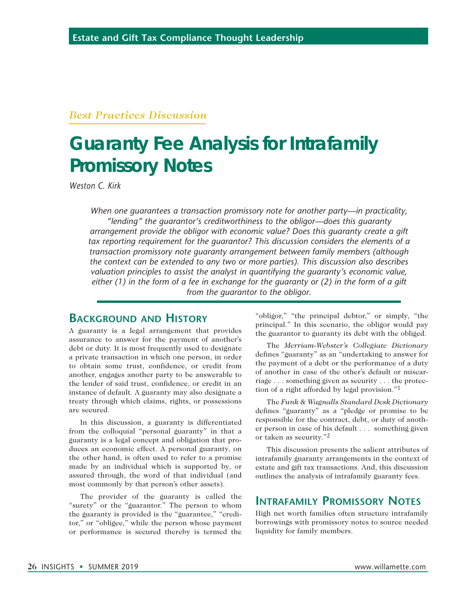### *Best Practices Discussion*

# **Guaranty Fee Analysis for Intrafamily Promissory Notes**

*Weston C. Kirk*

*When one guarantees a transaction promissory note for another party—in practicality, "lending" the guarantor's creditworthiness to the obligor—does this guaranty arrangement provide the obligor with economic value? Does this guaranty create a gift tax reporting requirement for the guarantor? This discussion considers the elements of a transaction promissory note guaranty arrangement between family members (although the context can be extended to any two or more parties). This discussion also describes valuation principles to assist the analyst in quantifying the guaranty's economic value, either (1) in the form of a fee in exchange for the guaranty or (2) in the form of a gift from the guarantor to the obligor.*

## **Background and History**

A guaranty is a legal arrangement that provides assurance to answer for the payment of another's debt or duty. It is most frequently used to designate a private transaction in which one person, in order to obtain some trust, confidence, or credit from another, engages another party to be answerable to the lender of said trust, confidence, or credit in an instance of default. A guaranty may also designate a treaty through which claims, rights, or possessions are secured.

In this discussion, a guaranty is differentiated from the colloquial "personal guaranty" in that a guaranty is a legal concept and obligation that produces an economic effect. A personal guaranty, on the other hand, is often used to refer to a promise made by an individual which is supported by, or assured through, the word of that individual (and most commonly by that person's other assets).

The provider of the guaranty is called the "surety" or the "guarantor." The person to whom the guaranty is provided is the "guarantee," "creditor," or "obligee," while the person whose payment or performance is secured thereby is termed the "obligor," "the principal debtor," or simply, "the principal." In this scenario, the obligor would pay the guarantor to guaranty its debt with the obliged.

The *Merriam-Webster's Collegiate Dictionary*  defines "guaranty" as an "undertaking to answer for the payment of a debt or the performance of a duty of another in case of the other's default or miscarriage . . . something given as security . . . the protection of a right afforded by legal provision."1

The *Funk & Wagnalls Standard Desk Dictionary* defines "guaranty" as a "pledge or promise to be responsible for the contract, debt, or duty of another person in case of his default . . . something given or taken as security."2

This discussion presents the salient attributes of intrafamily guaranty arrangements in the context of estate and gift tax transactions. And, this discussion outlines the analysis of intrafamily guaranty fees.

## **Intrafamily Promissory Notes**

High net worth families often structure intrafamily borrowings with promissory notes to source needed liquidity for family members.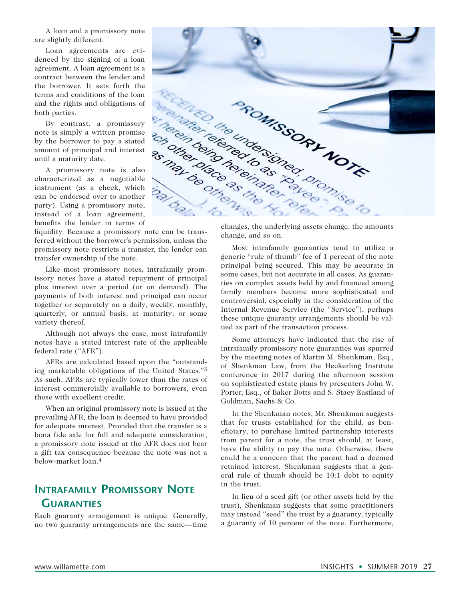A loan and a promissory note are slightly different.

Loan agreements are evidenced by the signing of a loan agreement. A loan agreement is a contract between the lender and the borrower. It sets forth the terms and conditions of the loan and the rights and obligations of both parties.

By contrast, a promissory note is simply a written promise by the borrower to pay a stated amount of principal and interest until a maturity date.

A promissory note is also characterized as a negotiable instrument (as a check, which can be endorsed over to another party). Using a promissory note, instead of a loan agreement, benefits the lender in terms of

liquidity. Because a promissory note can be transferred without the borrower's permission, unless the promissory note restricts a transfer, the lender can transfer ownership of the note.

Like most promissory notes, intrafamily promissory notes have a stated repayment of principal plus interest over a period (or on demand). The payments of both interest and principal can occur together or separately on a daily, weekly, monthly, quarterly, or annual basis; at maturity; or some variety thereof.

Although not always the case, most intrafamily notes have a stated interest rate of the applicable federal rate ("AFR").

AFRs are calculated based upon the "outstanding marketable obligations of the United States."3 As such, AFRs are typically lower than the rates of interest commercially available to borrowers, even those with excellent credit.

When an original promissory note is issued at the prevailing AFR, the loan is deemed to have provided for adequate interest. Provided that the transfer is a bona fide sale for full and adequate consideration, a promissory note issued at the AFR does not bear a gift tax consequence because the note was not a below-market loan.4

## **Intrafamily Promissory Note Guaranties**

Each guaranty arrangement is unique. Generally, no two guaranty arrangements are the same—time



changes, the underlying assets change, the amounts

Most intrafamily guaranties tend to utilize a generic "rule of thumb" fee of 1 percent of the note principal being secured. This may be accurate in some cases, but not accurate in all cases. As guaranties on complex assets held by and financed among family members become more sophisticated and controversial, especially in the consideration of the Internal Revenue Service (the "Service"), perhaps these unique guaranty arrangements should be valued as part of the transaction process.

Some attorneys have indicated that the rise of intrafamily promissory note guaranties was spurred by the meeting notes of Martin M. Shenkman, Esq., of Shenkman Law, from the Heckerling Institute conference in 2017 during the afternoon session on sophisticated estate plans by presenters John W. Porter, Esq., of Baker Botts and S. Stacy Eastland of Goldman, Sachs & Co.

In the Shenkman notes, Mr. Shenkman suggests that for trusts established for the child, as beneficiary, to purchase limited partnership interests from parent for a note, the trust should, at least, have the ability to pay the note. Otherwise, there could be a concern that the parent had a deemed retained interest. Shenkman suggests that a general rule of thumb should be 10:1 debt to equity in the trust.

In lieu of a seed gift (or other assets held by the trust), Shenkman suggests that some practitioners may instead "seed" the trust by a guaranty, typically a guaranty of 10 percent of the note. Furthermore,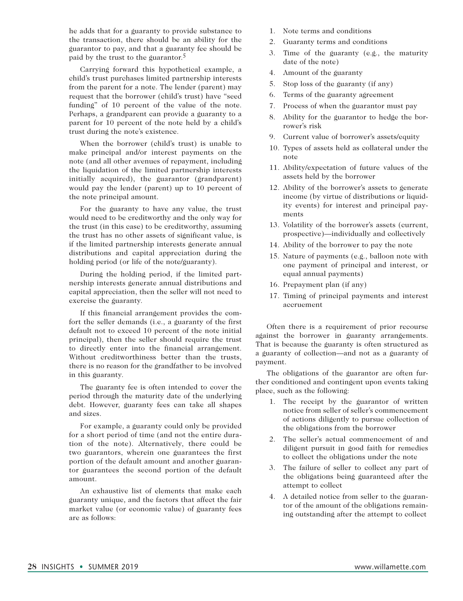he adds that for a guaranty to provide substance to the transaction, there should be an ability for the guarantor to pay, and that a guaranty fee should be paid by the trust to the guarantor.5

Carrying forward this hypothetical example, a child's trust purchases limited partnership interests from the parent for a note. The lender (parent) may request that the borrower (child's trust) have "seed funding" of 10 percent of the value of the note. Perhaps, a grandparent can provide a guaranty to a parent for 10 percent of the note held by a child's trust during the note's existence.

When the borrower (child's trust) is unable to make principal and/or interest payments on the note (and all other avenues of repayment, including the liquidation of the limited partnership interests initially acquired), the guarantor (grandparent) would pay the lender (parent) up to 10 percent of the note principal amount.

For the guaranty to have any value, the trust would need to be creditworthy and the only way for the trust (in this case) to be creditworthy, assuming the trust has no other assets of significant value, is if the limited partnership interests generate annual distributions and capital appreciation during the holding period (or life of the note/guaranty).

During the holding period, if the limited partnership interests generate annual distributions and capital appreciation, then the seller will not need to exercise the guaranty.

If this financial arrangement provides the comfort the seller demands (i.e., a guaranty of the first default not to exceed 10 percent of the note initial principal), then the seller should require the trust to directly enter into the financial arrangement. Without creditworthiness better than the trusts, there is no reason for the grandfather to be involved in this guaranty.

The guaranty fee is often intended to cover the period through the maturity date of the underlying debt. However, guaranty fees can take all shapes and sizes.

For example, a guaranty could only be provided for a short period of time (and not the entire duration of the note). Alternatively, there could be two guarantors, wherein one guarantees the first portion of the default amount and another guarantor guarantees the second portion of the default amount.

An exhaustive list of elements that make each guaranty unique, and the factors that affect the fair market value (or economic value) of guaranty fees are as follows:

- 1. Note terms and conditions
- 2. Guaranty terms and conditions
- 3. Time of the guaranty (e.g., the maturity date of the note)
- 4. Amount of the guaranty
- 5. Stop loss of the guaranty (if any)
- 6. Terms of the guaranty agreement
- 7. Process of when the guarantor must pay
- 8. Ability for the guarantor to hedge the borrower's risk
- 9. Current value of borrower's assets/equity
- 10. Types of assets held as collateral under the note
- 11. Ability/expectation of future values of the assets held by the borrower
- 12. Ability of the borrower's assets to generate income (by virtue of distributions or liquidity events) for interest and principal payments
- 13. Volatility of the borrower's assets (current, prospective)—individually and collectively
- 14. Ability of the borrower to pay the note
- 15. Nature of payments (e.g., balloon note with one payment of principal and interest, or equal annual payments)
- 16. Prepayment plan (if any)
- 17. Timing of principal payments and interest accruement

Often there is a requirement of prior recourse against the borrower in guaranty arrangements. That is because the guaranty is often structured as a guaranty of collection—and not as a guaranty of payment.

The obligations of the guarantor are often further conditioned and contingent upon events taking place, such as the following:

- 1. The receipt by the guarantor of written notice from seller of seller's commencement of actions diligently to pursue collection of the obligations from the borrower
- 2. The seller's actual commencement of and diligent pursuit in good faith for remedies to collect the obligations under the note
- 3. The failure of seller to collect any part of the obligations being guaranteed after the attempt to collect
- 4. A detailed notice from seller to the guarantor of the amount of the obligations remaining outstanding after the attempt to collect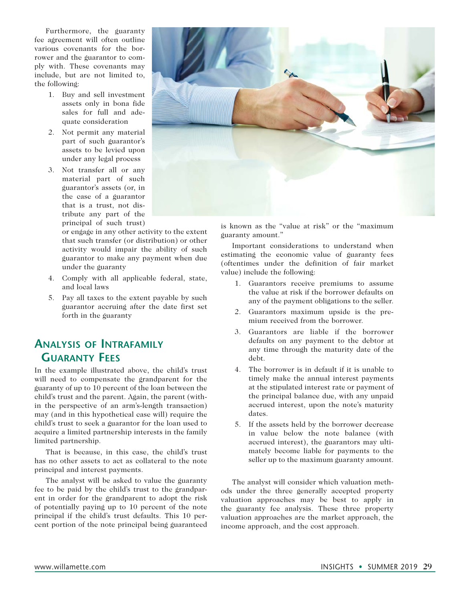Furthermore, the guaranty fee agreement will often outline various covenants for the borrower and the guarantor to comply with. These covenants may include, but are not limited to, the following:

- 1. Buy and sell investment assets only in bona fide sales for full and adequate consideration
- 2. Not permit any material part of such guarantor's assets to be levied upon under any legal process
- 3. Not transfer all or any material part of such guarantor's assets (or, in the case of a guarantor that is a trust, not distribute any part of the principal of such trust)

or engage in any other activity to the extent that such transfer (or distribution) or other activity would impair the ability of such guarantor to make any payment when due under the guaranty

- 4. Comply with all applicable federal, state, and local laws
- 5. Pay all taxes to the extent payable by such guarantor accruing after the date first set forth in the guaranty

# **Analysis of Intrafamily Guaranty Fees**

In the example illustrated above, the child's trust will need to compensate the grandparent for the guaranty of up to 10 percent of the loan between the child's trust and the parent. Again, the parent (within the perspective of an arm's-length transaction) may (and in this hypothetical case will) require the child's trust to seek a guarantor for the loan used to acquire a limited partnership interests in the family limited partnership.

That is because, in this case, the child's trust has no other assets to act as collateral to the note principal and interest payments.

The analyst will be asked to value the guaranty fee to be paid by the child's trust to the grandparent in order for the grandparent to adopt the risk of potentially paying up to 10 percent of the note principal if the child's trust defaults. This 10 percent portion of the note principal being guaranteed



is known as the "value at risk" or the "maximum guaranty amount."

Important considerations to understand when estimating the economic value of guaranty fees (oftentimes under the definition of fair market value) include the following:

- 1. Guarantors receive premiums to assume the value at risk if the borrower defaults on any of the payment obligations to the seller.
- 2. Guarantors maximum upside is the premium received from the borrower.
- 3. Guarantors are liable if the borrower defaults on any payment to the debtor at any time through the maturity date of the debt.
- 4. The borrower is in default if it is unable to timely make the annual interest payments at the stipulated interest rate or payment of the principal balance due, with any unpaid accrued interest, upon the note's maturity dates.
- 5. If the assets held by the borrower decrease in value below the note balance (with accrued interest), the guarantors may ultimately become liable for payments to the seller up to the maximum guaranty amount.

The analyst will consider which valuation methods under the three generally accepted property valuation approaches may be best to apply in the guaranty fee analysis. These three property valuation approaches are the market approach, the income approach, and the cost approach.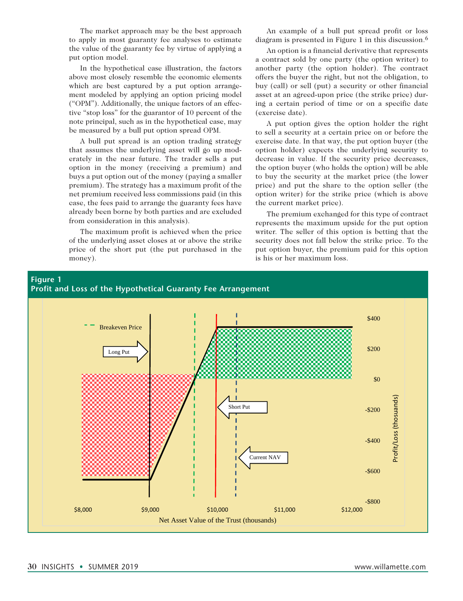The market approach may be the best approach to apply in most guaranty fee analyses to estimate the value of the guaranty fee by virtue of applying a put option model.

In the hypothetical case illustration, the factors above most closely resemble the economic elements which are best captured by a put option arrangement modeled by applying an option pricing model ("OPM"). Additionally, the unique factors of an effective "stop loss" for the guarantor of 10 percent of the note principal, such as in the hypothetical case, may be measured by a bull put option spread OPM.

A bull put spread is an option trading strategy that assumes the underlying asset will go up moderately in the near future. The trader sells a put option in the money (receiving a premium) and buys a put option out of the money (paying a smaller premium). The strategy has a maximum profit of the net premium received less commissions paid (in this case, the fees paid to arrange the guaranty fees have already been borne by both parties and are excluded from consideration in this analysis).

The maximum profit is achieved when the price of the underlying asset closes at or above the strike price of the short put (the put purchased in the money).

An example of a bull put spread profit or loss diagram is presented in Figure 1 in this discussion.<sup>6</sup>

An option is a financial derivative that represents a contract sold by one party (the option writer) to another party (the option holder). The contract offers the buyer the right, but not the obligation, to buy (call) or sell (put) a security or other financial asset at an agreed-upon price (the strike price) during a certain period of time or on a specific date (exercise date).

A put option gives the option holder the right to sell a security at a certain price on or before the exercise date. In that way, the put option buyer (the option holder) expects the underlying security to decrease in value. If the security price decreases, the option buyer (who holds the option) will be able to buy the security at the market price (the lower price) and put the share to the option seller (the option writer) for the strike price (which is above the current market price).

The premium exchanged for this type of contract represents the maximum upside for the put option writer. The seller of this option is betting that the security does not fall below the strike price. To the put option buyer, the premium paid for this option is his or her maximum loss.

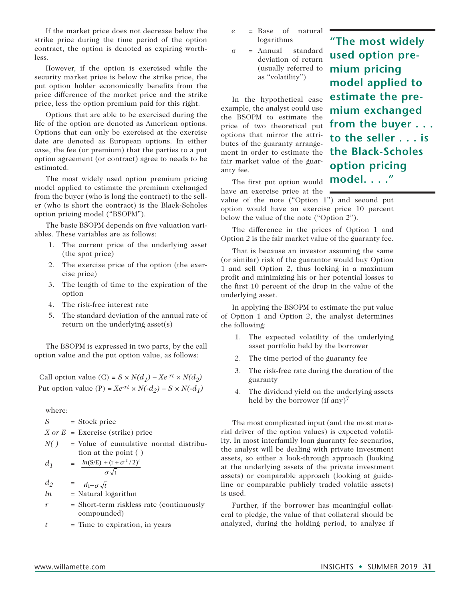If the market price does not decrease below the strike price during the time period of the option contract, the option is denoted as expiring worthless.

However, if the option is exercised while the security market price is below the strike price, the put option holder economically benefits from the price difference of the market price and the strike price, less the option premium paid for this right.

Options that are able to be exercised during the life of the option are denoted as American options. Options that can only be exercised at the exercise date are denoted as European options. In either case, the fee (or premium) that the parties to a put option agreement (or contract) agree to needs to be estimated.

The most widely used option premium pricing model applied to estimate the premium exchanged from the buyer (who is long the contract) to the seller (who is short the contract) is the Black-Scholes option pricing model ("BSOPM").

The basic BSOPM depends on five valuation variables. These variables are as follows:

- 1. The current price of the underlying asset (the spot price)
- 2. The exercise price of the option (the exercise price)
- 3. The length of time to the expiration of the option
- 4. The risk-free interest rate
- 5. The standard deviation of the annual rate of return on the underlying asset(s)

The BSOPM is expressed in two parts, by the call option value and the put option value, as follows:

Call option value (C) =  $S \times N(d_1) - Xe^{-rt} \times N(d_2)$ Put option value (P) =  $Xe^{-rt} \times N(-d_2) - S \times N(-d_1)$ 

where:

*S* = Stock price

*X or E* = Exercise (strike) price

*N( )* = Value of cumulative normal distribu tion at the point ( )

$$
d_1 = \frac{\ln(S/E) + (r + \sigma^2/2)^t}{\sigma\sqrt{t}}
$$

 $d_2 = d_1 - \sigma \sqrt{t}$ *ln* = Natural logarithm

- 
- *r* = Short-term riskless rate (continuously compounded)
- $t =$  Time to expiration, in years
- *e* = Base of natural logarithms
- σ = Annual standard deviation of return (usually referred to as "volatility")

In the hypothetical case example, the analyst could use the BSOPM to estimate the price of two theoretical put options that mirror the attributes of the guaranty arrangement in order to estimate the fair market value of the guaranty fee.

**"The most widely used option premium pricing model applied to estimate the premium exchanged from the buyer . . . to the seller . . . is the Black-Scholes option pricing model. . . ."**

The first put option would have an exercise price at the

value of the note ("Option 1") and second put option would have an exercise price 10 percent below the value of the note ("Option 2").

The difference in the prices of Option 1 and Option 2 is the fair market value of the guaranty fee.

That is because an investor assuming the same (or similar) risk of the guarantor would buy Option 1 and sell Option 2, thus locking in a maximum profit and minimizing his or her potential losses to the first 10 percent of the drop in the value of the underlying asset.

In applying the BSOPM to estimate the put value of Option 1 and Option 2, the analyst determines the following:

- 1. The expected volatility of the underlying asset portfolio held by the borrower
- 2. The time period of the guaranty fee
- 3. The risk-free rate during the duration of the guaranty
- 4. The dividend yield on the underlying assets held by the borrower (if any)<sup>7</sup>

The most complicated input (and the most material driver of the option values) is expected volatility. In most interfamily loan guaranty fee scenarios, the analyst will be dealing with private investment assets, so either a look-through approach (looking at the underlying assets of the private investment assets) or comparable approach (looking at guideline or comparable publicly traded volatile assets) is used.

Further, if the borrower has meaningful collateral to pledge, the value of that collateral should be analyzed, during the holding period, to analyze if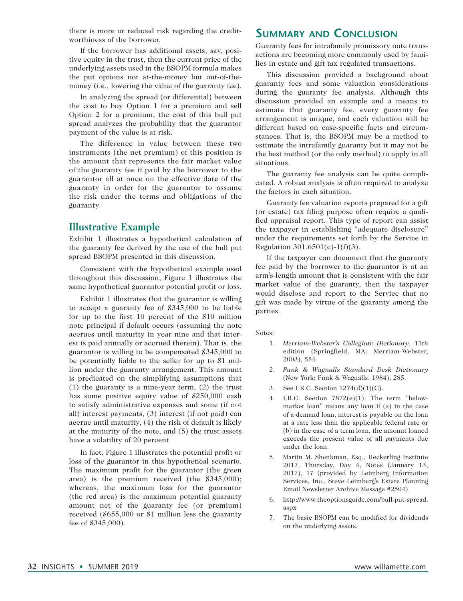there is more or reduced risk regarding the creditworthiness of the borrower.

If the borrower has additional assets, say, positive equity in the trust, then the current price of the underlying assets used in the BSOPM formula makes the put options not at-the-money but out-of-themoney (i.e., lowering the value of the guaranty fee).

In analyzing the spread (or differential) between the cost to buy Option 1 for a premium and sell Option 2 for a premium, the cost of this bull put spread analyzes the probability that the guarantor payment of the value is at risk.

The difference in value between these two instruments (the net premium) of this position is the amount that represents the fair market value of the guaranty fee if paid by the borrower to the guarantor all at once on the effective date of the guaranty in order for the guarantor to assume the risk under the terms and obligations of the guaranty.

#### **Illustrative Example**

Exhibit 1 illustrates a hypothetical calculation of the guaranty fee derived by the use of the bull put spread BSOPM presented in this discussion.

Consistent with the hypothetical example used throughout this discussion, Figure 1 illustrates the same hypothetical guarantor potential profit or loss.

Exhibit 1 illustrates that the guarantor is willing to accept a guaranty fee of \$345,000 to be liable for up to the first 10 percent of the \$10 million note principal if default occurs (assuming the note accrues until maturity in year nine and that interest is paid annually or accrued therein). That is, the guarantor is willing to be compensated \$345,000 to be potentially liable to the seller for up to \$1 million under the guaranty arrangement. This amount is predicated on the simplifying assumptions that (1) the guaranty is a nine-year term, (2) the trust has some positive equity value of \$250,000 cash to satisfy administrative expenses and some (if not all) interest payments, (3) interest (if not paid) can accrue until maturity, (4) the risk of default is likely at the maturity of the note, and (5) the trust assets have a volatility of 20 percent.

In fact, Figure 1 illustrates the potential profit or loss of the guarantor in this hypothetical scenario. The maximum profit for the guarantor (the green area) is the premium received (the \$345,000); whereas, the maximum loss for the guarantor (the red area) is the maximum potential guaranty amount net of the guaranty fee (or premium) received (\$655,000 or \$1 million less the guaranty fee of \$345,000).

## **Summary and Conclusion**

Guaranty fees for intrafamily promissory note transactions are becoming more commonly used by families in estate and gift tax regulated transactions.

This discussion provided a background about guaranty fees and some valuation considerations during the guaranty fee analysis. Although this discussion provided an example and a means to estimate that guaranty fee, every guaranty fee arrangement is unique, and each valuation will be different based on case-specific facts and circumstances. That is, the BSOPM may be a method to estimate the intrafamily guaranty but it may not be the best method (or the only method) to apply in all situations.

The guaranty fee analysis can be quite complicated. A robust analysis is often required to analyze the factors in each situation.

Guaranty fee valuation reports prepared for a gift (or estate) tax filing purpose often require a qualified appraisal report. This type of report can assist the taxpayer in establishing "adequate disclosure" under the requirements set forth by the Service in Regulation 301.6501(c)-1(f)(3).

If the taxpayer can document that the guaranty fee paid by the borrower to the guarantor is at an arm's-length amount that is consistent with the fair market value of the guaranty, then the taxpayer would disclose and report to the Service that no gift was made by virtue of the guaranty among the parties.

#### Notes:

- 1. *Merriam-Webster's Collegiate Dictionary*, 11th edition (Springfield, MA: Merriam-Webster, 2003), 554.
- 2. *Funk & Wagnalls Standard Desk Dictionary* (New York: Funk & Wagnalls, 1984), 285.
- 3. See I.R.C. Section 1274(d)(1)(C).
- 4. I.R.C. Section 7872(e)(1): The term ''belowmarket loan'' means any loan if (a) in the case of a demand loan, interest is payable on the loan at a rate less than the applicable federal rate or (b) in the case of a term loan, the amount loaned exceeds the present value of all payments due under the loan.
- 5. Martin M. Shenkman, Esq., Heckerling Institute 2017, Thursday, Day 4, Notes (January 13, 2017), 17 (provided by Leimberg Information Services, Inc., Steve Leimberg's Estate Planning Email Newsletter Archive Message #2504).
- 6. http://www.theoptionsguide.com/bull-put-spread. aspx
- 7. The basic BSOPM can be modified for dividends on the underlying assets.